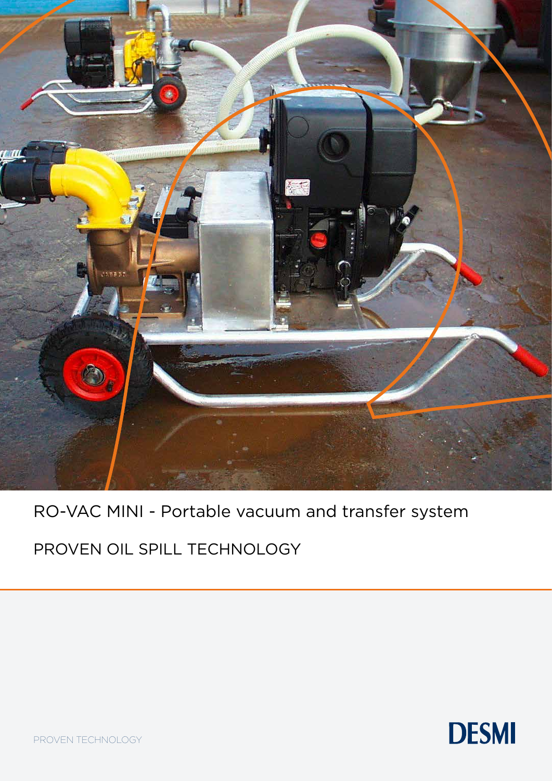

## RO-VAC MINI - Portable vacuum and transfer system

## PROVEN OIL SPILL TECHNOLOGY